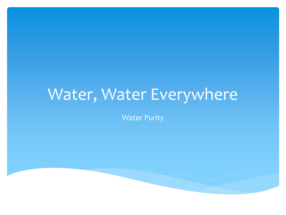## Water, Water Everywhere

Water Purity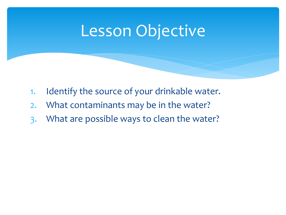## Lesson Objective

- 1. Identify the source of your drinkable water.
- 2. What contaminants may be in the water?
- 3. What are possible ways to clean the water?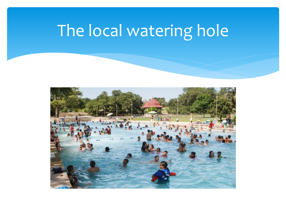# The local watering hole

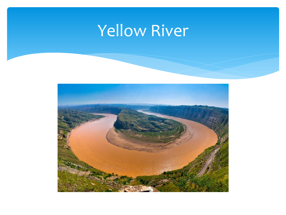## Yellow River

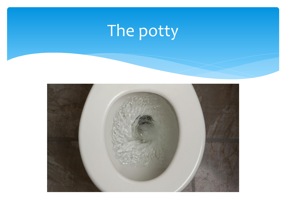# The potty

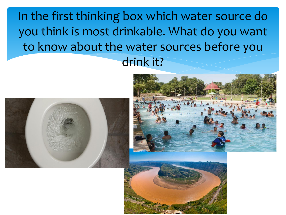In the first thinking box which water source do you think is most drinkable. What do you want to know about the water sources before you drink it?





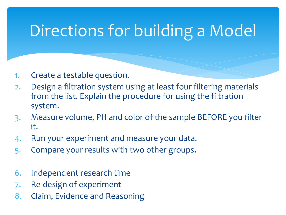## Directions for building a Model

- 1. Create a testable question.
- 2. Design a filtration system using at least four filtering materials from the list. Explain the procedure for using the filtration system.
- 3. Measure volume, PH and color of the sample BEFORE you filter it.
- 4. Run your experiment and measure your data.
- 5. Compare your results with two other groups.
- 6. Independent research time
- 7. Re-design of experiment
- 8. Claim, Evidence and Reasoning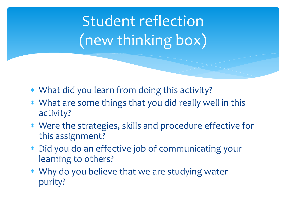Student reflection (new thinking box)

- What did you learn from doing this activity?
- What are some things that you did really well in this activity?
- Were the strategies, skills and procedure effective for this assignment?
- Did you do an effective job of communicating your learning to others?
- Why do you believe that we are studying water purity?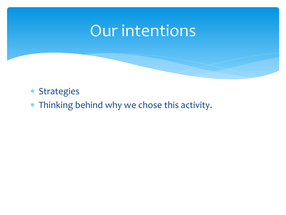## Our intentions

#### Strategies

Thinking behind why we chose this activity.